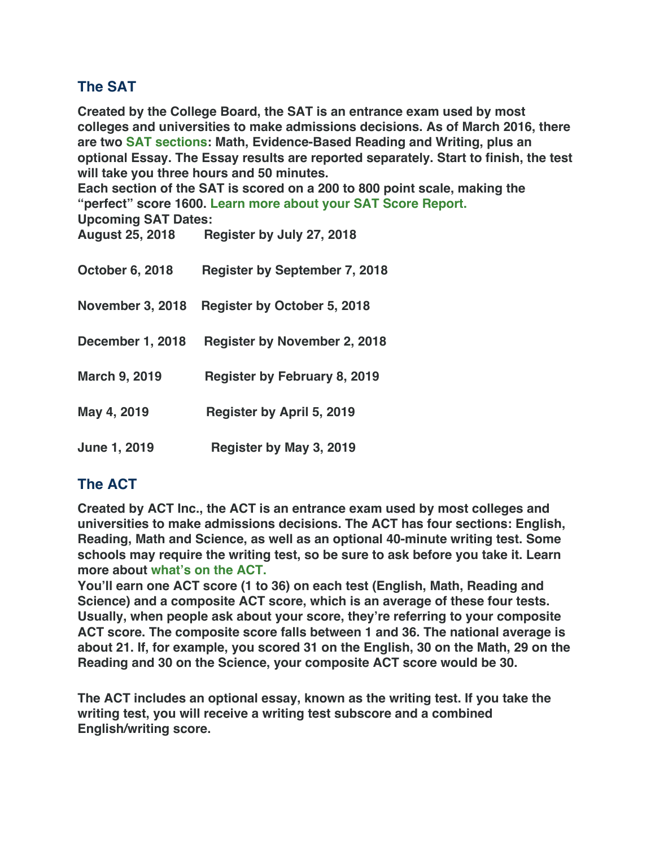## **The SAT**

**Created by the College Board, the SAT is an entrance exam used by most colleges and universities to make admissions decisions. As of March 2016, there are two SAT sections: Math, Evidence-Based Reading and Writing, plus an optional Essay. The Essay results are reported separately. Start to finish, the test will take you three hours and 50 minutes.**

**Each section of the SAT is scored on a 200 to 800 point scale, making the "perfect" score 1600. Learn more about your SAT Score Report.**

**Upcoming SAT Dates: August 25, 2018 Register by July 27, 2018**

| August ZJ, ZUTO         | $R = 100$                            |
|-------------------------|--------------------------------------|
| <b>October 6, 2018</b>  | <b>Register by September 7, 2018</b> |
| <b>November 3, 2018</b> | <b>Register by October 5, 2018</b>   |
| <b>December 1, 2018</b> | <b>Register by November 2, 2018</b>  |
| <b>March 9, 2019</b>    | <b>Register by February 8, 2019</b>  |
| May 4, 2019             | <b>Register by April 5, 2019</b>     |
| <b>June 1, 2019</b>     | Register by May 3, 2019              |

## **The ACT**

**Created by ACT Inc., the ACT is an entrance exam used by most colleges and universities to make admissions decisions. The ACT has four sections: English, Reading, Math and Science, as well as an optional 40-minute writing test. Some schools may require the writing test, so be sure to ask before you take it. Learn more about what's on the ACT.**

**You'll earn one ACT score (1 to 36) on each test (English, Math, Reading and Science) and a composite ACT score, which is an average of these four tests. Usually, when people ask about your score, they're referring to your composite ACT score. The composite score falls between 1 and 36. The national average is about 21. If, for example, you scored 31 on the English, 30 on the Math, 29 on the Reading and 30 on the Science, your composite ACT score would be 30.**

**The ACT includes an optional essay, known as the writing test. If you take the writing test, you will receive a writing test subscore and a combined English/writing score.**